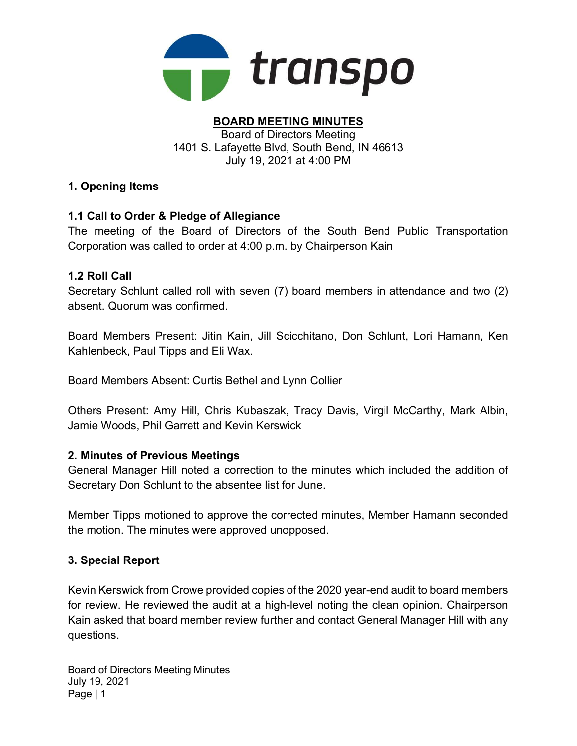

#### BOARD MEETING MINUTES Board of Directors Meeting 1401 S. Lafayette Blvd, South Bend, IN 46613 July 19, 2021 at 4:00 PM

### 1. Opening Items

## 1.1 Call to Order & Pledge of Allegiance

The meeting of the Board of Directors of the South Bend Public Transportation Corporation was called to order at 4:00 p.m. by Chairperson Kain

#### 1.2 Roll Call

Secretary Schlunt called roll with seven (7) board members in attendance and two (2) absent. Quorum was confirmed.

Board Members Present: Jitin Kain, Jill Scicchitano, Don Schlunt, Lori Hamann, Ken Kahlenbeck, Paul Tipps and Eli Wax.

Board Members Absent: Curtis Bethel and Lynn Collier

Others Present: Amy Hill, Chris Kubaszak, Tracy Davis, Virgil McCarthy, Mark Albin, Jamie Woods, Phil Garrett and Kevin Kerswick

#### 2. Minutes of Previous Meetings

General Manager Hill noted a correction to the minutes which included the addition of Secretary Don Schlunt to the absentee list for June.

Member Tipps motioned to approve the corrected minutes, Member Hamann seconded the motion. The minutes were approved unopposed.

## 3. Special Report

Kevin Kerswick from Crowe provided copies of the 2020 year-end audit to board members for review. He reviewed the audit at a high-level noting the clean opinion. Chairperson Kain asked that board member review further and contact General Manager Hill with any questions.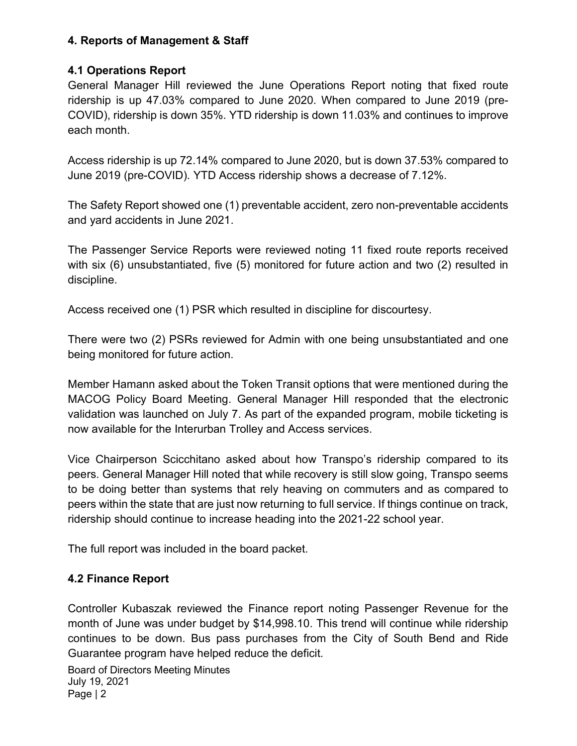## 4. Reports of Management & Staff

## 4.1 Operations Report

General Manager Hill reviewed the June Operations Report noting that fixed route ridership is up 47.03% compared to June 2020. When compared to June 2019 (pre-COVID), ridership is down 35%. YTD ridership is down 11.03% and continues to improve each month.

Access ridership is up 72.14% compared to June 2020, but is down 37.53% compared to June 2019 (pre-COVID). YTD Access ridership shows a decrease of 7.12%.

The Safety Report showed one (1) preventable accident, zero non-preventable accidents and yard accidents in June 2021.

The Passenger Service Reports were reviewed noting 11 fixed route reports received with six (6) unsubstantiated, five (5) monitored for future action and two (2) resulted in discipline.

Access received one (1) PSR which resulted in discipline for discourtesy.

There were two (2) PSRs reviewed for Admin with one being unsubstantiated and one being monitored for future action.

Member Hamann asked about the Token Transit options that were mentioned during the MACOG Policy Board Meeting. General Manager Hill responded that the electronic validation was launched on July 7. As part of the expanded program, mobile ticketing is now available for the Interurban Trolley and Access services.

Vice Chairperson Scicchitano asked about how Transpo's ridership compared to its peers. General Manager Hill noted that while recovery is still slow going, Transpo seems to be doing better than systems that rely heaving on commuters and as compared to peers within the state that are just now returning to full service. If things continue on track, ridership should continue to increase heading into the 2021-22 school year.

The full report was included in the board packet.

## 4.2 Finance Report

Controller Kubaszak reviewed the Finance report noting Passenger Revenue for the month of June was under budget by \$14,998.10. This trend will continue while ridership continues to be down. Bus pass purchases from the City of South Bend and Ride Guarantee program have helped reduce the deficit.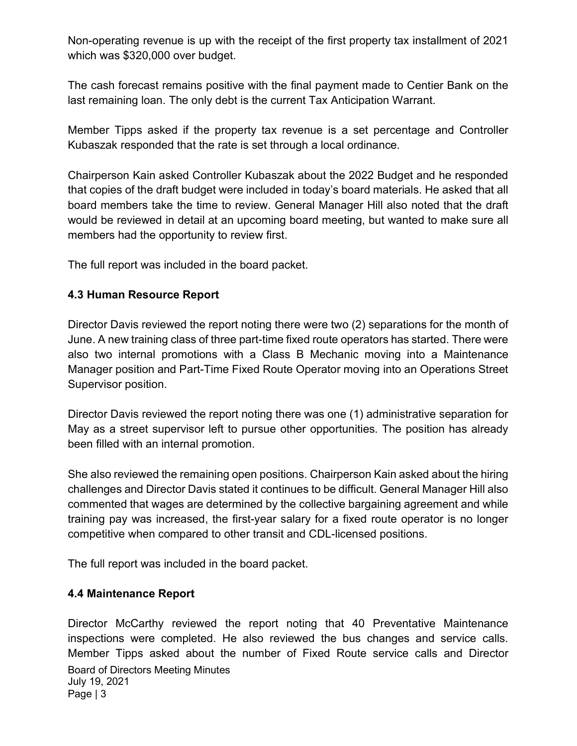Non-operating revenue is up with the receipt of the first property tax installment of 2021 which was \$320,000 over budget.

The cash forecast remains positive with the final payment made to Centier Bank on the last remaining loan. The only debt is the current Tax Anticipation Warrant.

Member Tipps asked if the property tax revenue is a set percentage and Controller Kubaszak responded that the rate is set through a local ordinance.

Chairperson Kain asked Controller Kubaszak about the 2022 Budget and he responded that copies of the draft budget were included in today's board materials. He asked that all board members take the time to review. General Manager Hill also noted that the draft would be reviewed in detail at an upcoming board meeting, but wanted to make sure all members had the opportunity to review first.

The full report was included in the board packet.

#### 4.3 Human Resource Report

Director Davis reviewed the report noting there were two (2) separations for the month of June. A new training class of three part-time fixed route operators has started. There were also two internal promotions with a Class B Mechanic moving into a Maintenance Manager position and Part-Time Fixed Route Operator moving into an Operations Street Supervisor position.

Director Davis reviewed the report noting there was one (1) administrative separation for May as a street supervisor left to pursue other opportunities. The position has already been filled with an internal promotion.

She also reviewed the remaining open positions. Chairperson Kain asked about the hiring challenges and Director Davis stated it continues to be difficult. General Manager Hill also commented that wages are determined by the collective bargaining agreement and while training pay was increased, the first-year salary for a fixed route operator is no longer competitive when compared to other transit and CDL-licensed positions.

The full report was included in the board packet.

#### 4.4 Maintenance Report

Board of Directors Meeting Minutes July 19, 2021 Page | 3 Director McCarthy reviewed the report noting that 40 Preventative Maintenance inspections were completed. He also reviewed the bus changes and service calls. Member Tipps asked about the number of Fixed Route service calls and Director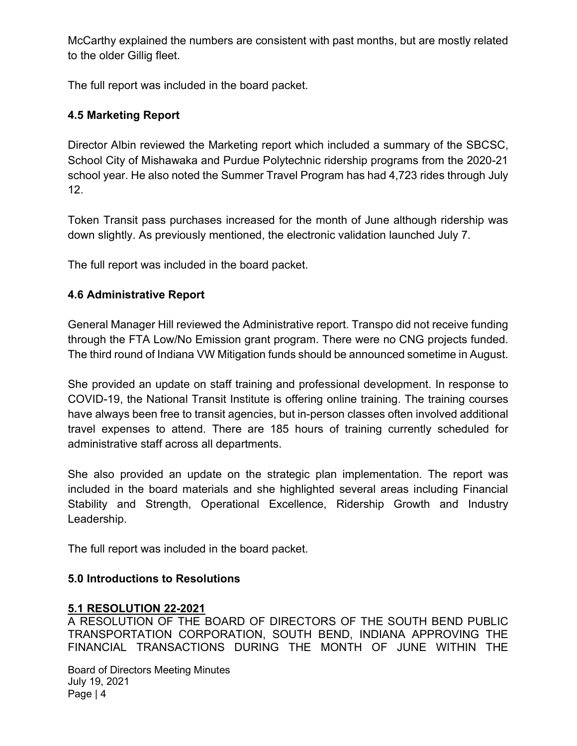McCarthy explained the numbers are consistent with past months, but are mostly related to the older Gillig fleet.

The full report was included in the board packet.

## 4.5 Marketing Report

Director Albin reviewed the Marketing report which included a summary of the SBCSC, School City of Mishawaka and Purdue Polytechnic ridership programs from the 2020-21 school year. He also noted the Summer Travel Program has had 4,723 rides through July 12.

Token Transit pass purchases increased for the month of June although ridership was down slightly. As previously mentioned, the electronic validation launched July 7.

The full report was included in the board packet.

## 4.6 Administrative Report

General Manager Hill reviewed the Administrative report. Transpo did not receive funding through the FTA Low/No Emission grant program. There were no CNG projects funded. The third round of Indiana VW Mitigation funds should be announced sometime in August.

She provided an update on staff training and professional development. In response to COVID-19, the National Transit Institute is offering online training. The training courses have always been free to transit agencies, but in-person classes often involved additional travel expenses to attend. There are 185 hours of training currently scheduled for administrative staff across all departments.

She also provided an update on the strategic plan implementation. The report was included in the board materials and she highlighted several areas including Financial Stability and Strength, Operational Excellence, Ridership Growth and Industry Leadership.

The full report was included in the board packet.

#### 5.0 Introductions to Resolutions

#### 5.1 RESOLUTION 22-2021

A RESOLUTION OF THE BOARD OF DIRECTORS OF THE SOUTH BEND PUBLIC TRANSPORTATION CORPORATION, SOUTH BEND, INDIANA APPROVING THE FINANCIAL TRANSACTIONS DURING THE MONTH OF JUNE WITHIN THE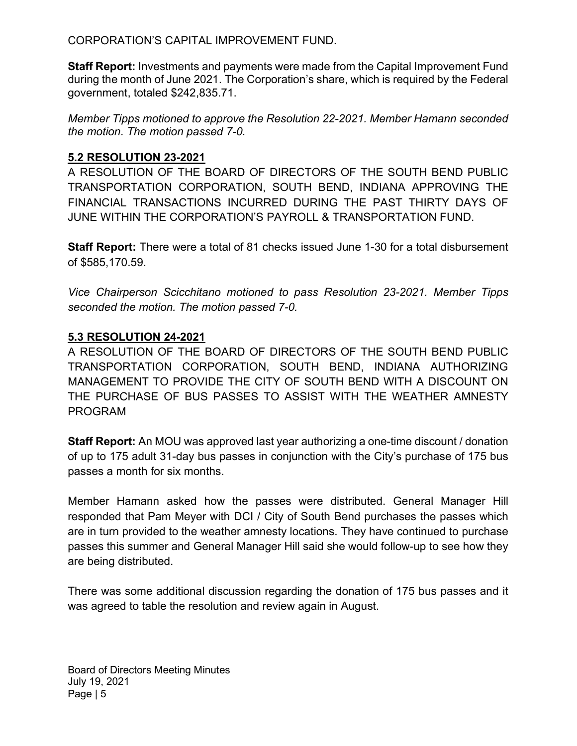CORPORATION'S CAPITAL IMPROVEMENT FUND.

Staff Report: Investments and payments were made from the Capital Improvement Fund during the month of June 2021. The Corporation's share, which is required by the Federal government, totaled \$242,835.71.

Member Tipps motioned to approve the Resolution 22-2021. Member Hamann seconded the motion. The motion passed 7-0.

## 5.2 RESOLUTION 23-2021

A RESOLUTION OF THE BOARD OF DIRECTORS OF THE SOUTH BEND PUBLIC TRANSPORTATION CORPORATION, SOUTH BEND, INDIANA APPROVING THE FINANCIAL TRANSACTIONS INCURRED DURING THE PAST THIRTY DAYS OF JUNE WITHIN THE CORPORATION'S PAYROLL & TRANSPORTATION FUND.

Staff Report: There were a total of 81 checks issued June 1-30 for a total disbursement of \$585,170.59.

Vice Chairperson Scicchitano motioned to pass Resolution 23-2021. Member Tipps seconded the motion. The motion passed 7-0.

#### 5.3 RESOLUTION 24-2021

A RESOLUTION OF THE BOARD OF DIRECTORS OF THE SOUTH BEND PUBLIC TRANSPORTATION CORPORATION, SOUTH BEND, INDIANA AUTHORIZING MANAGEMENT TO PROVIDE THE CITY OF SOUTH BEND WITH A DISCOUNT ON THE PURCHASE OF BUS PASSES TO ASSIST WITH THE WEATHER AMNESTY PROGRAM

Staff Report: An MOU was approved last year authorizing a one-time discount / donation of up to 175 adult 31-day bus passes in conjunction with the City's purchase of 175 bus passes a month for six months.

Member Hamann asked how the passes were distributed. General Manager Hill responded that Pam Meyer with DCI / City of South Bend purchases the passes which are in turn provided to the weather amnesty locations. They have continued to purchase passes this summer and General Manager Hill said she would follow-up to see how they are being distributed.

There was some additional discussion regarding the donation of 175 bus passes and it was agreed to table the resolution and review again in August.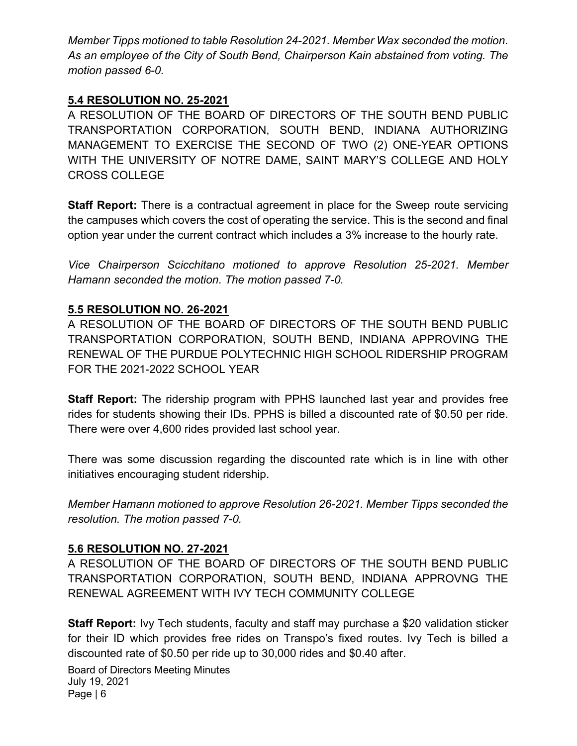Member Tipps motioned to table Resolution 24-2021. Member Wax seconded the motion. As an employee of the City of South Bend, Chairperson Kain abstained from voting. The motion passed 6-0.

## 5.4 RESOLUTION NO. 25-2021

A RESOLUTION OF THE BOARD OF DIRECTORS OF THE SOUTH BEND PUBLIC TRANSPORTATION CORPORATION, SOUTH BEND, INDIANA AUTHORIZING MANAGEMENT TO EXERCISE THE SECOND OF TWO (2) ONE-YEAR OPTIONS WITH THE UNIVERSITY OF NOTRE DAME, SAINT MARY'S COLLEGE AND HOLY CROSS COLLEGE

Staff Report: There is a contractual agreement in place for the Sweep route servicing the campuses which covers the cost of operating the service. This is the second and final option year under the current contract which includes a 3% increase to the hourly rate.

Vice Chairperson Scicchitano motioned to approve Resolution 25-2021. Member Hamann seconded the motion. The motion passed 7-0.

## 5.5 RESOLUTION NO. 26-2021

A RESOLUTION OF THE BOARD OF DIRECTORS OF THE SOUTH BEND PUBLIC TRANSPORTATION CORPORATION, SOUTH BEND, INDIANA APPROVING THE RENEWAL OF THE PURDUE POLYTECHNIC HIGH SCHOOL RIDERSHIP PROGRAM FOR THE 2021-2022 SCHOOL YEAR

Staff Report: The ridership program with PPHS launched last year and provides free rides for students showing their IDs. PPHS is billed a discounted rate of \$0.50 per ride. There were over 4,600 rides provided last school year.

There was some discussion regarding the discounted rate which is in line with other initiatives encouraging student ridership.

Member Hamann motioned to approve Resolution 26-2021. Member Tipps seconded the resolution. The motion passed 7-0.

#### 5.6 RESOLUTION NO. 27-2021

A RESOLUTION OF THE BOARD OF DIRECTORS OF THE SOUTH BEND PUBLIC TRANSPORTATION CORPORATION, SOUTH BEND, INDIANA APPROVNG THE RENEWAL AGREEMENT WITH IVY TECH COMMUNITY COLLEGE

Staff Report: Ivy Tech students, faculty and staff may purchase a \$20 validation sticker for their ID which provides free rides on Transpo's fixed routes. Ivy Tech is billed a discounted rate of \$0.50 per ride up to 30,000 rides and \$0.40 after.